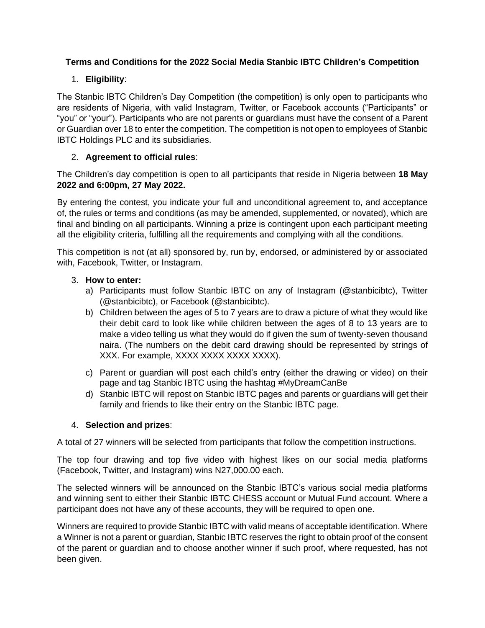## **Terms and Conditions for the 2022 Social Media Stanbic IBTC Children's Competition**

# 1. **Eligibility**:

The Stanbic IBTC Children's Day Competition (the competition) is only open to participants who are residents of Nigeria, with valid Instagram, Twitter, or Facebook accounts ("Participants" or "you" or "your"). Participants who are not parents or guardians must have the consent of a Parent or Guardian over 18 to enter the competition. The competition is not open to employees of Stanbic IBTC Holdings PLC and its subsidiaries.

## 2. **Agreement to official rules**:

The Children's day competition is open to all participants that reside in Nigeria between **18 May 2022 and 6:00pm, 27 May 2022.**

By entering the contest, you indicate your full and unconditional agreement to, and acceptance of, the rules or terms and conditions (as may be amended, supplemented, or novated), which are final and binding on all participants. Winning a prize is contingent upon each participant meeting all the eligibility criteria, fulfilling all the requirements and complying with all the conditions.

This competition is not (at all) sponsored by, run by, endorsed, or administered by or associated with, Facebook, Twitter, or Instagram.

### 3. **How to enter:**

- a) Participants must follow Stanbic IBTC on any of Instagram (@stanbicibtc), Twitter (@stanbicibtc), or Facebook (@stanbicibtc).
- b) Children between the ages of 5 to 7 years are to draw a picture of what they would like their debit card to look like while children between the ages of 8 to 13 years are to make a video telling us what they would do if given the sum of twenty-seven thousand naira. (The numbers on the debit card drawing should be represented by strings of XXX. For example, XXXX XXXX XXXX XXXX).
- c) Parent or guardian will post each child's entry (either the drawing or video) on their page and tag Stanbic IBTC using the hashtag #MyDreamCanBe
- d) Stanbic IBTC will repost on Stanbic IBTC pages and parents or guardians will get their family and friends to like their entry on the Stanbic IBTC page.

### 4. **Selection and prizes**:

A total of 27 winners will be selected from participants that follow the competition instructions.

The top four drawing and top five video with highest likes on our social media platforms (Facebook, Twitter, and Instagram) wins N27,000.00 each.

The selected winners will be announced on the Stanbic IBTC's various social media platforms and winning sent to either their Stanbic IBTC CHESS account or Mutual Fund account. Where a participant does not have any of these accounts, they will be required to open one.

Winners are required to provide Stanbic IBTC with valid means of acceptable identification. Where a Winner is not a parent or guardian, Stanbic IBTC reserves the right to obtain proof of the consent of the parent or guardian and to choose another winner if such proof, where requested, has not been given.